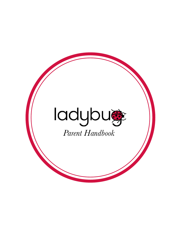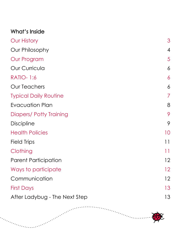| What's Inside                  |                           |
|--------------------------------|---------------------------|
| <b>Our History</b>             | 3                         |
| Our Philosophy                 | $\overline{4}$            |
| Our Program                    | 5                         |
| <b>Our Curricula</b>           | 6                         |
| <b>RATIO-1:6</b>               | 6                         |
| <b>Our Teachers</b>            | 6                         |
| <b>Typical Daily Routine</b>   | 7                         |
| Evacuation Plan                | 8                         |
| <b>Diapers/ Potty Training</b> | 9                         |
| <b>Discipline</b>              | 9                         |
| <b>Health Policies</b>         | 10                        |
| Field Trips                    | $\overline{\phantom{a}1}$ |
| Clothing                       | 11                        |
| <b>Parent Participation</b>    | 12                        |
| Ways to participate            | 12                        |
| Communication                  | 12                        |
| <b>First Days</b>              | 13                        |
| After Ladybug - The Next Step  | 13                        |

. . . . . . . . . .

 $\cdots$  .  $\cdots$ 

a Barat Barat Barat Barat Barat Barat Barat Barat Barat Barat Barat Barat Barat Barat Barat Barat Barat Barat<br>Barat Barat Barat Barat Barat Barat Barat Barat Barat Barat Barat Barat Barat Barat Barat Barat Barat Barat B

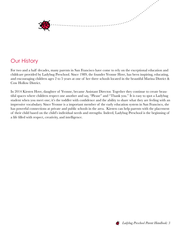<span id="page-2-0"></span>

# Our History

For two and a half decades, many parents in San Francisco have come to rely on the exceptional education and childcare provided by Ladybug Preschool. Since 1989, the founder Yvonne Hove, has been inspiring, educating, and encouraging children ages 2 to 5 years at one of her three schools located in the beautiful Marina District & Cow Hollow District.

In 2014 Kirsten Hove, daughter of Yvonne, became Assistant Director. Together they continue to create beautiful spaces where children respect one another and say, "Please" and "Thank you." It is easy to spot a Ladybug student when you meet one; it's the toddler with confidence and the ability to share what they are feeling with an impressive vocabulary. Since Yvonne is a important member of the early education system in San Francisco, she has powerful connections at private and public schools in the area. Kirsten can help parents with the placement of their child based on the child's individual needs and strengths. Indeed, Ladybug Preschool is the beginning of a life filled with respect, creativity, and intelligence.

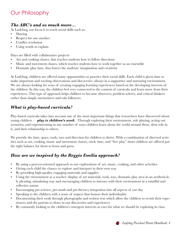# <span id="page-3-0"></span>Our Philosophy

### *The ABC's and so much more…*

At Ladybug, our focus is to teach social skills such as:

- Sharing
- Respect for one another
- Conflict resolution
- Using words to explain

Days are filled with collaborative projects:

- Art and cooking classes, that teaches students how to follow directions
- Music and movement classes, which teaches students how to work together as an ensemble
- Dramatic play time, that fosters the students' imagination and creativity

At Ladybug, children are offered many opportunities to practice their social skills. Each child is given time to make important and exciting observations and discoveries–always in a supportive and nurturing environment. We are always looking for ways of creating engaging learning experiences based on the developing interests of the children. In this way, the children feel very connected to the content of curricula and learn more from their experiences. This type of approach helps children to become observers, problem solvers, and critical thinkers rather than simply memorizers and rule followers.

## *What is play-based curricula?*

Play-based curricula takes into account one of the most important things that researchers have discovered about young children — *[play is children's work.](http://www.wired.com/wiredscience/2011/03/the-virtues-of-play/))* Through exploring their environment, role playing, acting out scenarios, and experimenting in any number of ways children learn about the world around them, their role in it, and their relationship to others.

We provide the time, space, tools, toys and direction for children to thrive. With a combination of directed activities such as art, cooking, music and movement classes, circle time, and "free play" times children are offered just the right balance for them to learn and grow.

## *How are we inspired by the Reggio Emilia approach?*

- By using a process-oriented approach to our explorations of art, music, cooking, and other activities
- Giving each child the chance to explore and interpret in their own way
- By providing high-quality, engaging materials and supplies
- Using the environment as a teacher–display of art materials, tools, toys, dramatic play area in an aesthetically pleasing, stimulating way and encouraging children to interact with their environment in a mindful and reflective nature
- Encouraging pre-science, pre-math and pre-literacy integration into all aspects of our day
- Speaking to the children with a sense of respect that honors their individuality
- Documenting their work through photographs and written text which allow the children to revisit their experiences and the parents to share in our discoveries and experiences
- By constantly looking to the children's emergent interests as cues for what we should be exploring in class.

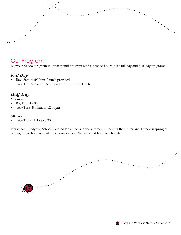## <span id="page-4-0"></span>Our Program

Ladybug School program is a year round program with extended hours, both full day and half day programs

### *Full Day*

- Bay- 8am to 5:30pm- Lunch provided
- Too/Tree 8:30am to 5:30pm- Parents provide lunch

## *Half Day*

Morning

- Bay 8am-12:30
- Too/Tree- 8:30am to 12:30pm

#### Afternoon

• Too/Tree- 11:45 to 5:30

Please note: Ladybug School is closed for 2 weeks in the summer, 2 weeks in the winter and 1 week in spring as well as, major holidays and 4 in-services a year. See attached holiday schedule



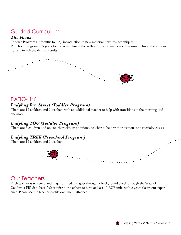# <span id="page-5-0"></span>Guided Curriculum

#### *The Focus*

Toddler Program (18months to 3.5)- introduction to new material, textures, techniques Preschool Program (3.5 years to 5 years)- refining the skills and use of materials then using refined skills intentionally to achieve desired results



## RATIO- 1:6

## *Ladybug Bay Street (Toddler Program)*

There are 12 children and 2 teachers with an additional teacher to help with transitions in the morning and afternoon.

### *Ladybug TOO (Toddler Program)*

There are 6 children and one teacher with an additional teacher to help with transitions and specialty classes.

## *Ladybug TREE (Preschool Program)*

There are 12 children and 2 teachers



## Our Teachers

Each teacher is screened and finger printed and goes through a background check through the State of California FBI data base. We require our teachers to have at least 15 ECE units with 2 years classroom experience. Please see the teacher profile document attached.

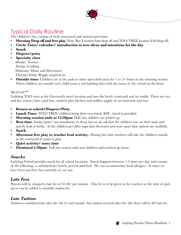# <span id="page-6-0"></span>Typical Daily Routine

The children's day consists of both structured and unstructured time.

- **Morning Drop off and free play** (Note: Bay Location 8am drop off and TOO/TREE location 8:30 drop off)
- **• Circle Time/ calendar/ introduction to new ideas and intentions for the day**
- **• Snack**
- **• Diapers/potty**
- **• Specialty class** *Monday:* Science *Tuesday:* Cooking *Wednesday:* Music and Movement *Thursday/Friday:* Reggio inspired art
- **Outside time:** Children are at the park or other open field areas for 1 to 2+ hours in the morning session. When children are outside each child wears a red ladybug shirt with the name of the school on the front.

#### *Special note\*\**

Ladybug TOO stays at the Greenwich street location and uses the lovely courtyard and art studio. There are wet and dry sensory bins, sand box, outdoor play kitchen and endless supply of art materials and toys

- **• Return to school/Diapers/Potty**
- **Lunch Time:** TOO/TREE- children bring their own lunch; BAY lunch is provided
- **Morning session ends at 12:30pm:** Half day children are picked up.
- **Rest time** books/quiet/ not mandatory to sleep, but we do ask that the children stay on their mats and quietly look at books. As the children get older naps time decreases and more quiet time options are available.
- **• Snack**
- **• Afternoon free play or teacher lead activity:** During this time teachers will take the children outside in the courtyard or patio to play.
- **• Quiet activity/ story time**
- **Dismissal 5:30pm:** Full day session ends and children and teachers go home

#### *Snacks*

Ladybug School provides snack for all school locations. Snack happens between 1-3 times per day and consists of the following: a carbohydrate/starch, protein and fruit. We can accommodate food allergies. At times we have been nut free, but currently we are not.

#### *Late Fees*

Parents will be charged a late fee of \$1.00/ per minute. This fee is to be given to the teachers at the time of pick up or can be added to monthly tuition fee.

#### *Late Tuition*

Tuition is considered late after the 5th of each month. Any tuition received after the 5th, there will be \$25 late fee.

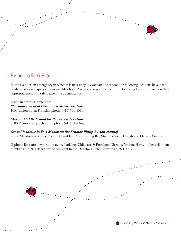<span id="page-7-0"></span>

# Evacuation Plan

In the event of an emergency in which it is necessary to evacuate the school, the following locations have been established as safe spaces in our neighborhood. We would report to one of the following locations based on their appropriateness and safety given the circumstances.

Listed in order of preference: *Sherman school of Greenwich Street Location* 1651 Union St. (at Franklin) phone: (415) 749-3530

#### *Marina Middle School for Bay Street Location*

3500 Fillmore St. (at chestnut) phone (415) 749-3495

#### *Great Meadows in Fort Mason (at the Senator Philip Burton statute).*

Great Meadows is a large open field and Fort Mason along Bay Street between Gough and Octavia Streets.

If phone lines are down, you may try Ladybug Childcare & Preschool Director, Yvonne Hove, on her cell phone number, (415) 971-1950, or the Assistant to the Director Kirsten Hove (415) 971-5717

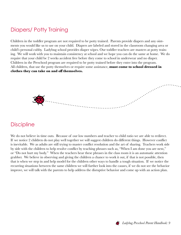# <span id="page-8-0"></span>Diapers/ Potty Training

Children in the toddler program are not required to be potty trained. Parents provide diapers and any ointments you would like us to use on your child. Diapers are labeled and stored in the classroom changing area or child's personal cubby. Ladybug school provides diaper wipes. Our toddler teachers are masters at potty training. We will work with you to maintain consistency at school and we hope you can do the same at home. We do require that your child be 2 weeks accident free before they come to school in underwear and no diaper. Children in the Preschool program are required to be potty trained before they enter into the program. All children, that use the potty themselves or require some assistance, **must come to school dressed in clothes they can take on and off themselves.** 

## **Discipline**

We do not believe in time outs. Because of our low numbers and teacher to child ratio we are able to redirect. If we notice 2 children do not play well together we will suggest children do different things. However conflict is inevitable. We as adults are still trying to master conflict resolution and the art of sharing. Teachers work side by side with the children to help resolve conflict by teaching phrases such as, "When I am done you are next," or "Do not hurt my body." When the teachers hear these phrases in the class room it is an automatic attention grabber. We believe in observing and giving the children a chance to work it out, if that is not possible, then that is when we step in and help model for the children other ways to handle a tough situation. If we notice the recurring situations between the same children we will further look into the causes, if we do not see the behavior improve, we will talk with the parents to help address the disruptive behavior and come up with an action plan.



a an am Bàsanach<br>Bailtean Chomainn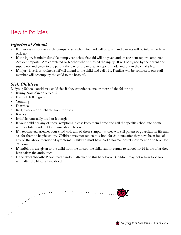# <span id="page-9-0"></span>Health Policies

### *Injuries at School*

- If injury is minor (no visible bumps or scratches), first aid will be given and parents will be told verbally at pick-up.
- If the injury is minimal(visible bumps, scratches) first aid will be given and an accident report completed. Accident reports: Are completed by teacher who witnessed the injury. It will be signed by the parent and supervisor and given to the parent the day of the injury. A copy is made and put in the child's file.
- If injury is serious, trained staff will attend to the child and call 911, Families will be contacted, one staff member will accompany the child to the hospital.

#### *Sick Children*

Ladybug School considers a child sick if they experience one or more of the following:

- Runny Nose (Green Mucous)
- Fever of 100 degrees
- Vomiting
- Diarrhea
- Red, Swollen or discharge from the eyes
- Rashes
- Irritable, unusually tired or lethargic
- If your child has any of these symptoms, please keep them home and call the specific school site phone number listed under "Communication" below.
- If a teacher experiences your child with any of these symptoms, they will call parent or guardian on file and ask for them to be picked up. Children may not return to school for 24 hours after they have been free of any of the above mentioned symptoms. Children must have had a normal bowel movement or no fever for 24 hours.
- If antibiotics are given to the child from the doctor, the child cannot return to school for 24 hours after they have taken the antibiotics
- Hand/Foot/Mouth: Please read handout attached to this handbook. Children may not return to school until after the blisters have dried.



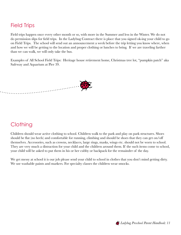# <span id="page-10-0"></span>Field Trips

Field trips happen once every other month or so, with more in the Summer and less in the Winter. We do not do permission slips for field trips. In the Ladybug Contract there is place that you signed ok-ing your child to go on Field Trips. The school will send out an announcement a week before the trip letting you know where, when and how we will be getting to the location and proper clothing or lunches to bring. If we are traveling farther than we can walk, we will only take the bus.

Examples of All School Field Trips: Heritage house retirement home, Christmas tree lot, "pumpkin patch" aka Safeway and Aquarium at Pier 39.



## **Clothing**

Children should wear active clothing to school. Children walk to the park and play on park structures. Shoes should be flat (no heels) and comfortable for running, climbing and should be shoes that they can get on/off themselves. Accessories, such as crowns, necklaces, large rings, masks, wings etc. should not be worn to school. They are very much a distraction for your child and the children around them. If the such items come to school, your child will be asked to put them in his or her cubby or backpack for the remainder of the day.

We get messy at school it is our job please send your child to school in clothes that you don't mind getting dirty. We use washable paints and markers. For specialty classes the children wear smocks.

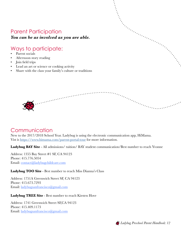# <span id="page-11-0"></span>Parent Participation

#### *You can be as involved as you are able.*

# Ways to participate:

- Parent socials
- Afternoon story reading
- Join field trips
- Lead an art or science or cooking activity
- Share with the class your family's culture or traditions

 $\cdots$ 

## Communication

New to the 2017/2018 School Year. Ladybug is using the electronic communication app, HiMama. Vist is <https://www.himama.com/parent-portal-tour> for more information.

Ladybug BAY Site - All admissions/ tuition/ BAY student communication/Best number to reach Yvonne

Address: 1355 Bay Street #1 SF, CA 94123 Phone: 415.776.5054 Email: [contact@ladybugchildcare.com](mailto:contact@ladybugchildcare.com)

#### **Ladybug TOO Site** - Best number to reach Miss Dianna's Class

Address: 1751A Greenwich Street SF, CA 94123 Phone: 415.673.7293 Email: [ladybugsanfrancisco@gmail.com](mailto:ladybugsanfrancisco@gmail.com)

#### **Ladybug TREE Site** - Best number to reach Kirsten Hove

Address: 1741 Greenwich Street SF,CA 94123 Phone: 415.409.1173 Email: [ladybugsanfrancisco@gmail.com](mailto:ladybugsanfrancisco@gmail.com)